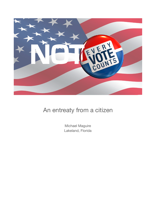

## An entreaty from a citizen

Michael Maguire Lakeland, Florida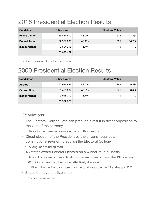# 2016 Presidential Election Results

| <b>Candidates</b>      | Citizen votes |       | <b>Electoral Votes</b> |       |
|------------------------|---------------|-------|------------------------|-------|
| <b>Hillary Clinton</b> | 65,844,610    | 48.2% | 233                    | 43.3% |
| Donald Trump           | 62,979,636    | 46.1% | 305                    | 56.7% |
| Independents           | 7,804,213     | 5.7%  | 0                      |       |
|                        | 136,628,459   |       |                        |       |

… but then, you already knew that, and this too

# 2000 Presidential Election Results

| <b>Candidates</b>  | Citizen votes |       | <b>Electoral Votes</b> |       |
|--------------------|---------------|-------|------------------------|-------|
| <b>Al Gore</b>     | 50,999,897    | 48.4% | 266                    | 49.4% |
| <b>George Bush</b> | 50,456,002    | 47.9% | 271                    | 50.4% |
| Independents       | 3,916,779     | 3.7%  | 0                      | 0     |
|                    | 105,372,678   |       |                        |       |

### - Stipulations

- The Electoral College vote can produce a result in direct opposition to the vote of the citizenry
	- Twice in the three first-term elections in this century
- Direct election of the President by the citizens requires a constitutional revision to abolish the Electoral College
	- A long, and winding road
- 48 states award Federal Electors on a winner-take-all basis
	- A result of a variety of modifications over many years during the 19th century
	- 62 million voters had their votes effectively discarded
		- Five million in Florida more than the total votes cast in 43 states and D.C.
- States don't vote, citizens do
	- You can resolve this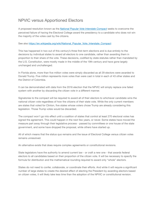## NPVIC versus Apportioned Electors

A proposed resolution known as the *[National Popular Vote Interstate Compact](http://www.nationalpopularvote.com)* seeks to overcome the perceived failure of having the Electoral College award the presidency to a candidate who does not win the majority of the votes cast by the citizens.

#### See also [https://en.wikipedia.org/wiki/National\\_Popular\\_Vote\\_Interstate\\_Compact](https://en.wikipedia.org/wiki/National_Popular_Vote_Interstate_Compact)

This has happened in two out of this century's three first-term elections and is due entirely to the decisions by individual states to award all electors to one candidate, rather than awarding them in proportion to their share of the vote. These decisions, codified by state statutes rather than mandated by the U.S. Constitution, were mostly made in the middle of the 19th century and have gone largely unchanged and unchallenged.

In Florida alone, more than five million votes were simply discarded as all 29 electors were awarded to Donald Trump. Five million represents more votes than were cast in total in each of 43 other states and the District of Colombia.

It can be demonstrated with data from the 2016 election that the NPVIC will simply replace one failed system with another by discarding the citizen vote in a different manner.

Signatories to the compact will be required to award all of their electors to whichever candidate wins the national citizen vote regardless of how the citizens of *their* state vote. While the only current members are states that voted for Clinton, five states whose voters chose Trump are already considering this legislation. Those Trump votes would be discarded.

The compact won't go into effect until a coalition of states that control at least 270 electoral votes has signed the agreement. This could happen in the next few years, or never. Some states have moved the measure part away through their legislative process - passed by committees or one house of the state government, and some have dropped the proposal, while others have started up.

All of which means that the status quo remains and the issue of Electoral College versus citizen votes remains unresolved.

An alternative exists that does require complex agreements or constitutional revisions.

State legislators have the authority to amend current law - or craft a new one - that awards federal electors to all candidates based on their proportion of the citizen vote. It will be necessary to specify the formula for distribution and the mathematical rounding required to award only "whole" electors.

States do not need to confer, collaborate, or coordinate their efforts. And while it will require a significant number of large states to create the desired effect of electing the President by awarding electors based on citizen votes, it will likely take less time than the adoption of the NPVIC or constitutional revision.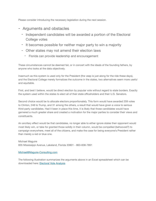Please consider introducing the necessary legislation during the next session.

### - Arguments and obstacles

- Independent candidates will be awarded a portion of the Electoral College votes
- It becomes possible for neither major party to win a majority
- Other states may not amend their election laws
	- Florida can provide leadership and encouragement

These circumstances cannot be deemed fair, or in concert with the ideals of the founding fathers, by anyone who looks at the data objectively.

Inasmuch as this system is used only for the President (the veep is just along for the ride these days), and the Electoral College merely formalizes the outcome in the states, two alternatives seem more useful and equitable.

First, and best I believe, would be direct election by popular vote without regard to state borders. Exactly the system used within the states to elect all of their state officeholders and their U.S. Senators.

Second choice would be to allocate electors proportionately. This form would have awarded 259 votes to Clinton, 248 to Trump, and 31 among the others, a result that would have given a voice to serious third-party candidates. Had it been in place this time, it is likely that those candidates would have garnered a much greater share and created a motivation for the major parties to consider their views and constituents.

An ancillary effect would be that candidates, no longer able to either ignore states their opponent would most likely win, or take for granted those solidly in their column, would be compelled (behooved?) to campaign everywhere, meet all of the citizens, and make the case for being everyone's President rather than merely a red or blue one.

Michael Maguire 835 Mississippi Avenue, Lakeland, Florida 33801 - 863-838-7891

### [Michael@Maguire-Consulting.com](mailto:michael@Maguire-Consulting.com)

The following illustration summarizes the arguments above in an Excel spreadsheet which can be downloaded here: [Electoral Vote Analysis](http://www.thecityzenship.com/wp-content/uploads/2017/02/Electoral-Votes-1.xlsx)